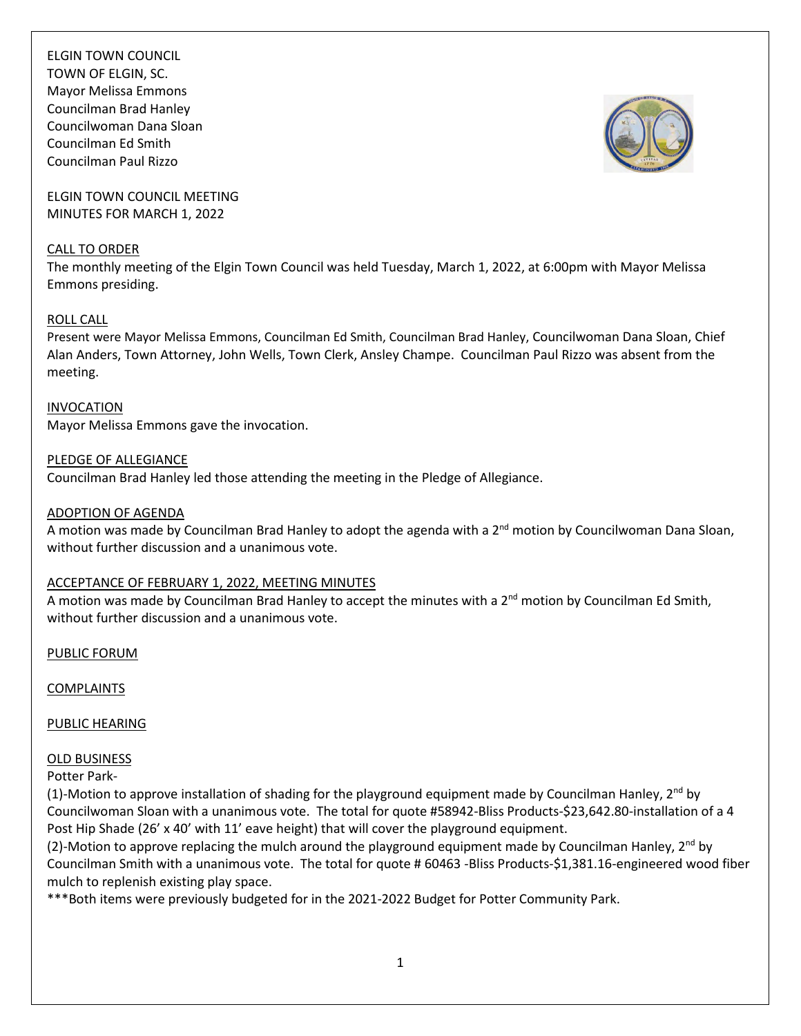ELGIN TOWN COUNCIL TOWN OF ELGIN, SC. Mayor Melissa Emmons Councilman Brad Hanley Councilwoman Dana Sloan Councilman Ed Smith Councilman Paul Rizzo

ELGIN TOWN COUNCIL MEETING MINUTES FOR MARCH 1, 2022

#### CALL TO ORDER

The monthly meeting of the Elgin Town Council was held Tuesday, March 1, 2022, at 6:00pm with Mayor Melissa Emmons presiding.

### ROLL CALL

Present were Mayor Melissa Emmons, Councilman Ed Smith, Councilman Brad Hanley, Councilwoman Dana Sloan, Chief Alan Anders, Town Attorney, John Wells, Town Clerk, Ansley Champe. Councilman Paul Rizzo was absent from the meeting.

#### INVOCATION

Mayor Melissa Emmons gave the invocation.

#### PLEDGE OF ALLEGIANCE

Councilman Brad Hanley led those attending the meeting in the Pledge of Allegiance.

#### ADOPTION OF AGENDA

A motion was made by Councilman Brad Hanley to adopt the agenda with a 2<sup>nd</sup> motion by Councilwoman Dana Sloan, without further discussion and a unanimous vote.

### ACCEPTANCE OF FEBRUARY 1, 2022, MEETING MINUTES

A motion was made by Councilman Brad Hanley to accept the minutes with a  $2^{nd}$  motion by Councilman Ed Smith, without further discussion and a unanimous vote.

PUBLIC FORUM

### COMPLAINTS

### PUBLIC HEARING

### OLD BUSINESS

Potter Park-

(1)-Motion to approve installation of shading for the playground equipment made by Councilman Hanley,  $2^{nd}$  by Councilwoman Sloan with a unanimous vote. The total for quote #58942-Bliss Products-\$23,642.80-installation of a 4 Post Hip Shade (26' x 40' with 11' eave height) that will cover the playground equipment.

(2)-Motion to approve replacing the mulch around the playground equipment made by Councilman Hanley,  $2^{nd}$  by Councilman Smith with a unanimous vote. The total for quote # 60463 -Bliss Products-\$1,381.16-engineered wood fiber mulch to replenish existing play space.

\*\*\*Both items were previously budgeted for in the 2021-2022 Budget for Potter Community Park.